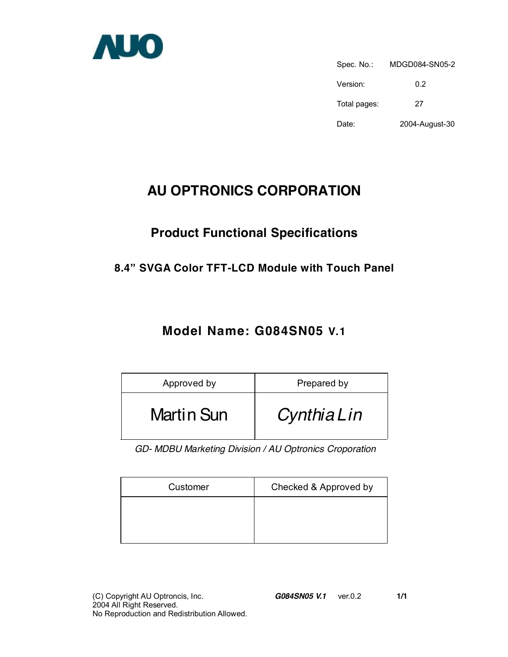

Spec. No.: MDGD084-SN05-2 Version: 0.2 Total pages: 27 Date: 2004-August-30

# **AU OPTRONICS CORPORATION**

# **Product Functional Specifications**

### **8.4" SVGA Color TFT-LCD Module with Touch Panel**

## **Model Name: G084SN05 V.1**

| Approved by       | Prepared by |
|-------------------|-------------|
| <b>Martin Sun</b> | CynthiaLin  |

*GD- MDBU Marketing Division / AU Optronics Croporation* 

| Customer | Checked & Approved by |
|----------|-----------------------|
|          |                       |
|          |                       |
|          |                       |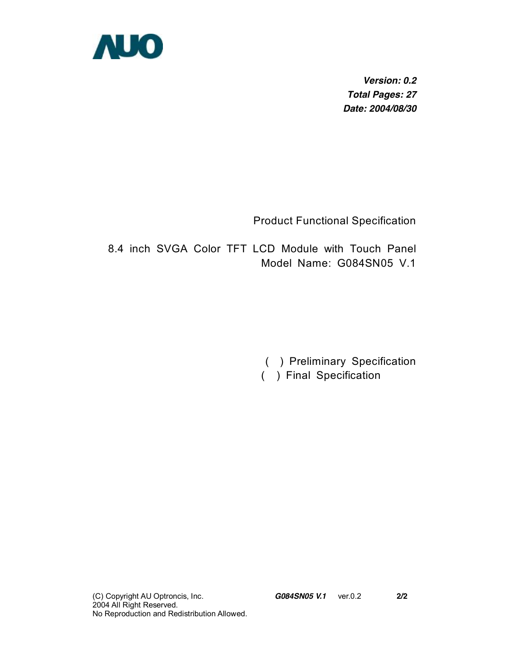

*Version: 0.2 Total Pages: 27 Date: 2004/08/30* 

Product Functional Specification

8.4 inch SVGA Color TFT LCD Module with Touch Panel Model Name: G084SN05 V.1

( ) Preliminary Specification

( ) Final Specification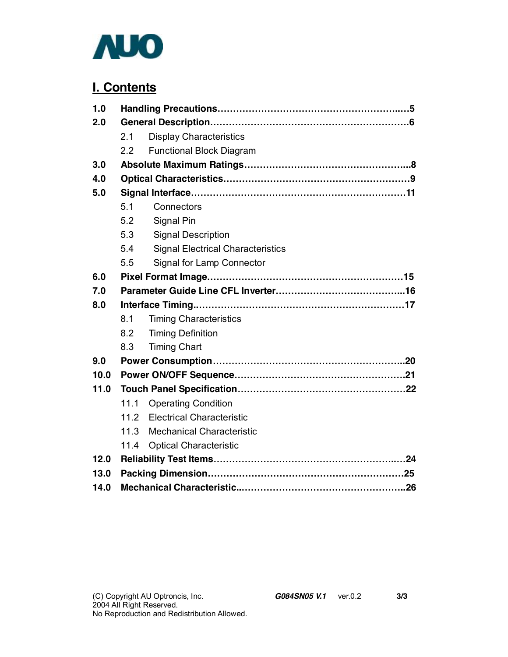

## **I. Contents**

| 1.0  |      |                                          |  |
|------|------|------------------------------------------|--|
| 2.0  |      |                                          |  |
|      | 2.1  | <b>Display Characteristics</b>           |  |
|      | 2.2  | <b>Functional Block Diagram</b>          |  |
| 3.0  |      |                                          |  |
| 4.0  |      |                                          |  |
| 5.0  |      |                                          |  |
|      | 5.1  | Connectors                               |  |
|      | 5.2  | Signal Pin                               |  |
|      | 5.3  | <b>Signal Description</b>                |  |
|      | 5.4  | <b>Signal Electrical Characteristics</b> |  |
|      | 5.5  | Signal for Lamp Connector                |  |
| 6.0  |      |                                          |  |
| 7.0  |      |                                          |  |
| 8.0  |      |                                          |  |
|      | 8.1  | <b>Timing Characteristics</b>            |  |
|      | 8.2  | <b>Timing Definition</b>                 |  |
|      | 8.3  | <b>Timing Chart</b>                      |  |
| 9.0  |      |                                          |  |
| 10.0 |      |                                          |  |
| 11.0 |      |                                          |  |
|      | 11.1 | <b>Operating Condition</b>               |  |
|      |      | 11.2 Electrical Characteristic           |  |
|      | 11.3 | <b>Mechanical Characteristic</b>         |  |
|      | 11.4 | <b>Optical Characteristic</b>            |  |
| 12.0 |      |                                          |  |
| 13.0 |      |                                          |  |
| 14.0 |      |                                          |  |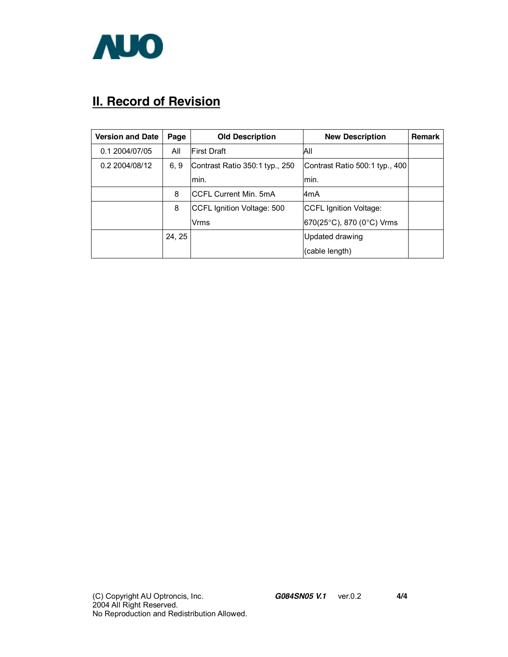

# **II. Record of Revision**

| <b>Version and Date</b> | Page   | <b>Old Description</b>         | <b>New Description</b>                     | <b>Remark</b> |
|-------------------------|--------|--------------------------------|--------------------------------------------|---------------|
| 0.1 2004/07/05          | All    | <b>First Draft</b>             | All                                        |               |
| 0.2 2004/08/12          | 6, 9   | Contrast Ratio 350:1 typ., 250 | Contrast Ratio 500:1 typ., 400             |               |
|                         |        | lmin.                          | lmin.                                      |               |
|                         | 8      | <b>CCFL Current Min. 5mA</b>   | l4mA                                       |               |
|                         | 8      | CCFL Ignition Voltage: 500     | <b>CCFL Ignition Voltage:</b>              |               |
|                         |        | Vrms                           | $ 670(25^{\circ}C), 870 (0^{\circ}C)$ Vrms |               |
|                         | 24, 25 |                                | Updated drawing                            |               |
|                         |        |                                | (cable length)                             |               |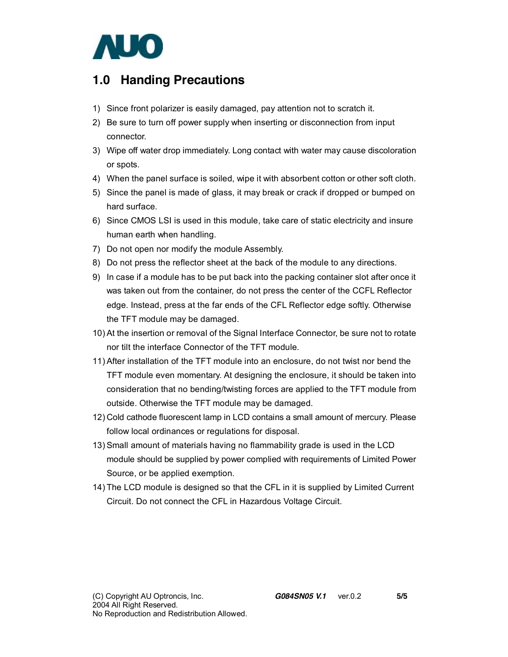

## **1.0 Handing Precautions**

- 1) Since front polarizer is easily damaged, pay attention not to scratch it.
- 2) Be sure to turn off power supply when inserting or disconnection from input connector.
- 3) Wipe off water drop immediately. Long contact with water may cause discoloration or spots.
- 4) When the panel surface is soiled, wipe it with absorbent cotton or other soft cloth.
- 5) Since the panel is made of glass, it may break or crack if dropped or bumped on hard surface.
- 6) Since CMOS LSI is used in this module, take care of static electricity and insure human earth when handling.
- 7) Do not open nor modify the module Assembly.
- 8) Do not press the reflector sheet at the back of the module to any directions.
- 9) In case if a module has to be put back into the packing container slot after once it was taken out from the container, do not press the center of the CCFL Reflector edge. Instead, press at the far ends of the CFL Reflector edge softly. Otherwise the TFT module may be damaged.
- 10) At the insertion or removal of the Signal Interface Connector, be sure not to rotate nor tilt the interface Connector of the TFT module.
- 11) After installation of the TFT module into an enclosure, do not twist nor bend the TFT module even momentary. At designing the enclosure, it should be taken into consideration that no bending/twisting forces are applied to the TFT module from outside. Otherwise the TFT module may be damaged.
- 12) Cold cathode fluorescent lamp in LCD contains a small amount of mercury. Please follow local ordinances or regulations for disposal.
- 13) Small amount of materials having no flammability grade is used in the LCD module should be supplied by power complied with requirements of Limited Power Source, or be applied exemption.
- 14) The LCD module is designed so that the CFL in it is supplied by Limited Current Circuit. Do not connect the CFL in Hazardous Voltage Circuit.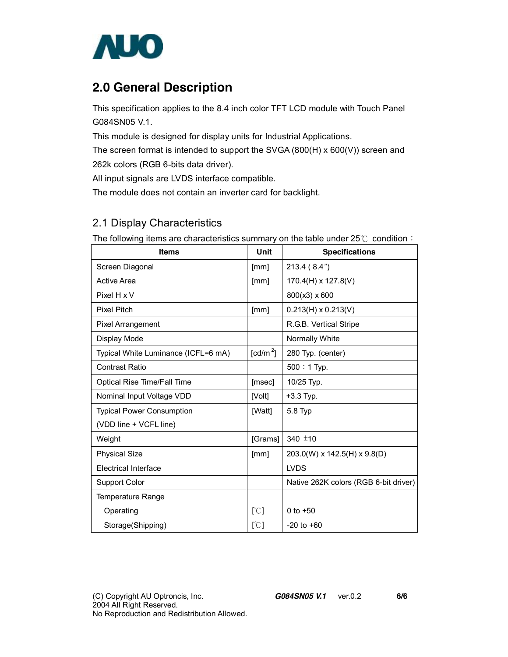

## **2.0 General Description**

This specification applies to the 8.4 inch color TFT LCD module with Touch Panel G084SN05 V.1.

This module is designed for display units for Industrial Applications.

The screen format is intended to support the SVGA (800(H) x 600(V)) screen and

262k colors (RGB 6-bits data driver).

All input signals are LVDS interface compatible.

The module does not contain an inverter card for backlight.

Weight  $\qquad \qquad$  [Grams] 340  $\pm$ 10

Electrical Interface LVDS

### 2.1 Display Characteristics

| The following items are characteristics summary on the table under $z_0 \in \mathcal{C}$ condition $\cdot$ |                  |                            |  |  |
|------------------------------------------------------------------------------------------------------------|------------------|----------------------------|--|--|
| <b>Items</b>                                                                                               | Unit             | <b>Specifications</b>      |  |  |
| Screen Diagonal                                                                                            | [mm]             | 213.4 (8.4")               |  |  |
| Active Area                                                                                                | [mm]             | $170.4(H) \times 127.8(V)$ |  |  |
| Pixel H x V                                                                                                |                  | $800(x3) \times 600$       |  |  |
| <b>Pixel Pitch</b>                                                                                         | [mm]             | $0.213(H) \times 0.213(V)$ |  |  |
| Pixel Arrangement                                                                                          |                  | R.G.B. Vertical Stripe     |  |  |
| Display Mode                                                                                               |                  | Normally White             |  |  |
| Typical White Luminance (ICFL=6 mA)                                                                        | $\text{[cd/m}^2$ | 280 Typ. (center)          |  |  |
| <b>Contrast Ratio</b>                                                                                      |                  | $500:1$ Typ.               |  |  |
| Optical Rise Time/Fall Time                                                                                | [msec]           | 10/25 Typ.                 |  |  |
| Nominal Input Voltage VDD                                                                                  | [Volt]           | $+3.3$ Typ.                |  |  |
| <b>Typical Power Consumption</b>                                                                           | [Watt]           | 5.8 Typ                    |  |  |
| (VDD line + VCFL line)                                                                                     |                  |                            |  |  |

Physical Size  $\vert$  [mm]  $\vert$  203.0(W) x 142.5(H) x 9.8(D)

Support Color Native 262K colors (RGB 6-bit driver)

 $[°C]$  $[C]$ 

0 to +50 -20 to +60

The following items are characteristics summary on the table under 25℃ condition:

Temperature Range

Storage(Shipping)

Operating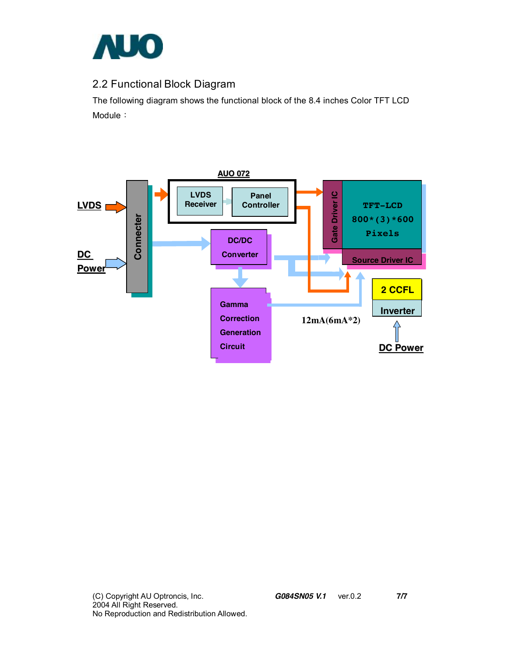

### 2.2 Functional Block Diagram

The following diagram shows the functional block of the 8.4 inches Color TFT LCD Module:

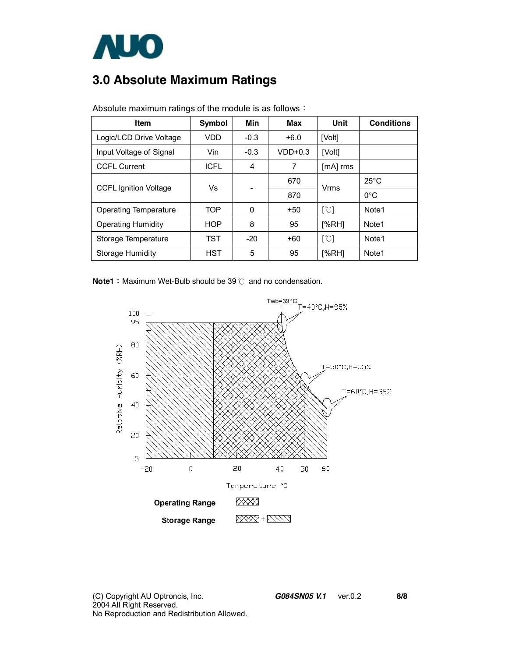

# **3.0 Absolute Maximum Ratings**

| <b>Item</b>                  | <b>Symbol</b> | Min    | Max       | Unit                      | <b>Conditions</b> |
|------------------------------|---------------|--------|-----------|---------------------------|-------------------|
| Logic/LCD Drive Voltage      | VDD           | $-0.3$ | $+6.0$    | [Volt]                    |                   |
| Input Voltage of Signal      | Vin           | $-0.3$ | $VDD+0.3$ | [Volt]                    |                   |
| <b>CCFL Current</b>          | <b>ICFL</b>   | 4      | 7         | $[MA]$ rms                |                   |
| <b>CCFL Ignition Voltage</b> | Vs            |        | 670       | Vrms                      | $25^{\circ}$ C    |
|                              |               |        | 870       |                           | $0^{\circ}$ C     |
| Operating Temperature        | <b>TOP</b>    | 0      | $+50$     | [°C]                      | Note1             |
| <b>Operating Humidity</b>    | <b>HOP</b>    | 8      | 95        | [%RH]                     | Note <sub>1</sub> |
| Storage Temperature          | <b>TST</b>    | $-20$  | $+60$     | $\lceil \text{°C} \rceil$ | Note <sub>1</sub> |
| Storage Humidity             | <b>HST</b>    | 5      | 95        | [%RH]                     | Note1             |

Absolute maximum ratings of the module is as follows:

**Note1**: Maximum Wet-Bulb should be 39℃ and no condensation.

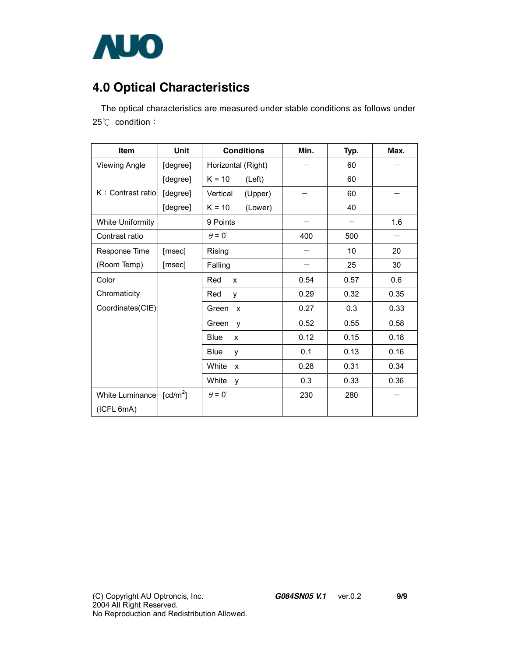

# **4.0 Optical Characteristics**

The optical characteristics are measured under stable conditions as follows under 25℃ condition:

| <b>Item</b>             | Unit                 | <b>Conditions</b>     | Min. | Typ. | Max. |
|-------------------------|----------------------|-----------------------|------|------|------|
| <b>Viewing Angle</b>    | [degree]             | Horizontal (Right)    |      | 60   |      |
|                         | [degree]             | $K = 10$<br>(Left)    |      | 60   |      |
| K: Contrast ratio       | [degree]             | (Upper)<br>Vertical   |      | 60   |      |
|                         | [degree]             | $K = 10$<br>(Lower)   |      | 40   |      |
| <b>White Uniformity</b> |                      | 9 Points              |      |      | 1.6  |
| Contrast ratio          |                      | $\theta = 0^{\circ}$  | 400  | 500  |      |
| Response Time           | [msec]               | Rising                |      | 10   | 20   |
| (Room Temp)             | [msec]               | Falling               |      | 25   | 30   |
| Color                   |                      | Red<br>X              | 0.54 | 0.57 | 0.6  |
| Chromaticity            |                      | Red<br>y              | 0.29 | 0.32 | 0.35 |
| Coordinates(CIE)        |                      | Green<br>$\mathsf{x}$ | 0.27 | 0.3  | 0.33 |
|                         |                      | Green<br>y            | 0.52 | 0.55 | 0.58 |
|                         |                      | <b>Blue</b><br>X      | 0.12 | 0.15 | 0.18 |
|                         |                      | Blue<br>v             | 0.1  | 0.13 | 0.16 |
|                         |                      | White<br>X            | 0.28 | 0.31 | 0.34 |
|                         |                      | White<br>y            | 0.3  | 0.33 | 0.36 |
| White Luminance         | [cd/m <sup>2</sup> ] | $\theta = 0^{\circ}$  | 230  | 280  |      |
| (ICFL 6mA)              |                      |                       |      |      |      |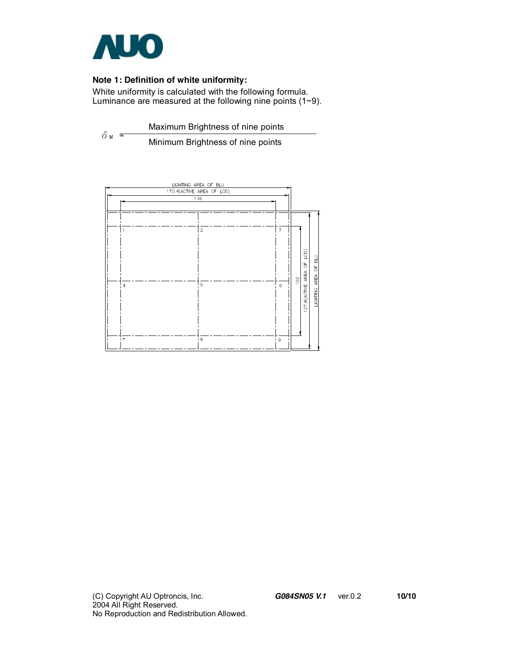

### **Note 1: Definition of white uniformity:**

White uniformity is calculated with the following formula. Luminance are measured at the following nine points (1~9).

 $\delta$ <sub>W</sub> = Maximum Brightness of nine points Minimum Brightness of nine points

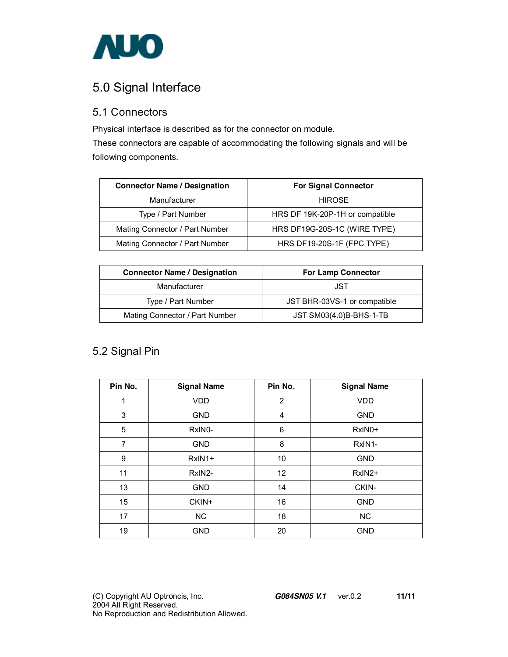

## 5.0 Signal Interface

### 5.1 Connectors

Physical interface is described as for the connector on module.

These connectors are capable of accommodating the following signals and will be following components.

| <b>Connector Name / Designation</b> | <b>For Signal Connector</b>     |
|-------------------------------------|---------------------------------|
| Manufacturer                        | <b>HIROSE</b>                   |
| Type / Part Number                  | HRS DF 19K-20P-1H or compatible |
| Mating Connector / Part Number      | HRS DF19G-20S-1C (WIRE TYPE)    |
| Mating Connector / Part Number      | HRS DF19-20S-1F (FPC TYPE)      |

| <b>Connector Name / Designation</b> | <b>For Lamp Connector</b>    |
|-------------------------------------|------------------------------|
| Manufacturer                        | JST                          |
| Type / Part Number                  | JST BHR-03VS-1 or compatible |
| Mating Connector / Part Number      | JST SM03(4.0)B-BHS-1-TB      |

### 5.2 Signal Pin

| Pin No.          | <b>Signal Name</b>  | Pin No.           | <b>Signal Name</b>  |
|------------------|---------------------|-------------------|---------------------|
| 1                | <b>VDD</b>          | $\overline{2}$    | <b>VDD</b>          |
| 3                | <b>GND</b>          | $\overline{4}$    | <b>GND</b>          |
| 5                | RxIN <sub>0</sub> - | 6                 | RxIN <sub>0</sub> + |
| 7                | <b>GND</b>          | 8                 | RxIN <sub>1</sub> - |
| 9                | $RxIN1+$            | 10                | <b>GND</b>          |
| 11               | RxIN2-              | $12 \overline{ }$ | $RxIN2+$            |
| 13               | <b>GND</b>          | 14                | CKIN-               |
| 15 <sub>15</sub> | CKIN+               | 16                | <b>GND</b>          |
| 17               | <b>NC</b>           | 18                | <b>NC</b>           |
| 19               | <b>GND</b>          | 20                | <b>GND</b>          |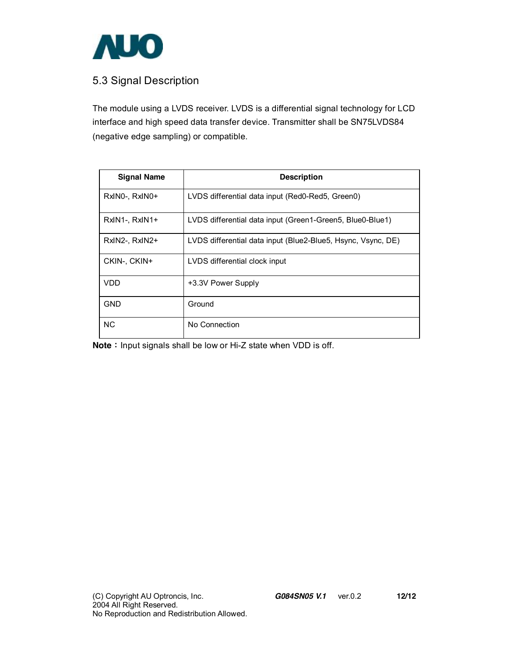

### 5.3 Signal Description

The module using a LVDS receiver. LVDS is a differential signal technology for LCD interface and high speed data transfer device. Transmitter shall be SN75LVDS84 (negative edge sampling) or compatible.

| <b>Signal Name</b> | <b>Description</b>                                           |
|--------------------|--------------------------------------------------------------|
| RxINO-, RxINO+     | LVDS differential data input (Red0-Red5, Green0)             |
| RxIN1-, RxIN1+     | LVDS differential data input (Green1-Green5, Blue0-Blue1)    |
| RxIN2-, RxIN2+     | LVDS differential data input (Blue2-Blue5, Hsync, Vsync, DE) |
| CKIN-, CKIN+       | LVDS differential clock input                                |
| <b>VDD</b>         | +3.3V Power Supply                                           |
| <b>GND</b>         | Ground                                                       |
| NC.                | No Connection                                                |

**Note**: Input signals shall be low or Hi-Z state when VDD is off.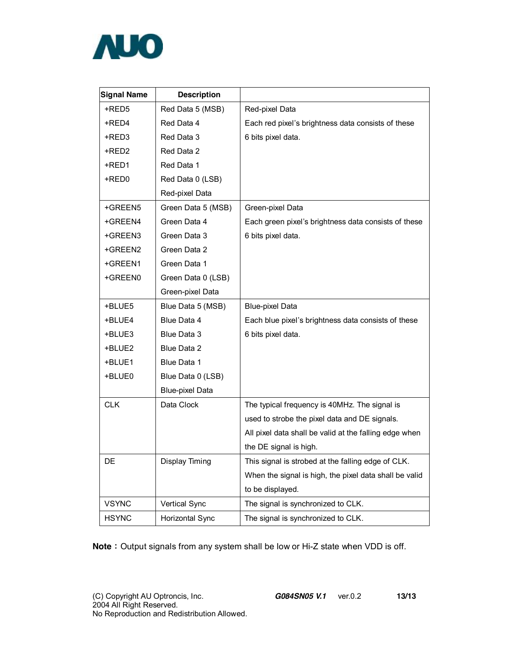

| <b>Signal Name</b> | <b>Description</b>     |                                                        |
|--------------------|------------------------|--------------------------------------------------------|
| +RED5              | Red Data 5 (MSB)       | Red-pixel Data                                         |
| +RED4              | Red Data 4             | Each red pixel's brightness data consists of these     |
| +RED3              | Red Data 3             | 6 bits pixel data.                                     |
| +RED2              | Red Data 2             |                                                        |
| +RED1              | Red Data 1             |                                                        |
| +RED0              | Red Data 0 (LSB)       |                                                        |
|                    | Red-pixel Data         |                                                        |
| +GREEN5            | Green Data 5 (MSB)     | Green-pixel Data                                       |
| +GREEN4            | Green Data 4           | Each green pixel's brightness data consists of these   |
| +GREEN3            | Green Data 3           | 6 bits pixel data.                                     |
| +GREEN2            | Green Data 2           |                                                        |
| +GREEN1            | Green Data 1           |                                                        |
| +GREEN0            | Green Data 0 (LSB)     |                                                        |
|                    | Green-pixel Data       |                                                        |
| +BLUE5             | Blue Data 5 (MSB)      | <b>Blue-pixel Data</b>                                 |
| +BLUE4             | Blue Data 4            | Each blue pixel's brightness data consists of these    |
| +BLUE3             | Blue Data 3            | 6 bits pixel data.                                     |
| +BLUE2             | Blue Data 2            |                                                        |
| +BLUE1             | Blue Data 1            |                                                        |
| +BLUE0             | Blue Data 0 (LSB)      |                                                        |
|                    | <b>Blue-pixel Data</b> |                                                        |
| <b>CLK</b>         | Data Clock             | The typical frequency is 40MHz. The signal is          |
|                    |                        | used to strobe the pixel data and DE signals.          |
|                    |                        | All pixel data shall be valid at the falling edge when |
|                    |                        | the DE signal is high.                                 |
| DE                 | Display Timing         | This signal is strobed at the falling edge of CLK.     |
|                    |                        | When the signal is high, the pixel data shall be valid |
|                    |                        | to be displayed.                                       |
| <b>VSYNC</b>       | Vertical Sync          | The signal is synchronized to CLK.                     |
| <b>HSYNC</b>       | Horizontal Sync        | The signal is synchronized to CLK.                     |

**Note**: Output signals from any system shall be low or Hi-Z state when VDD is off.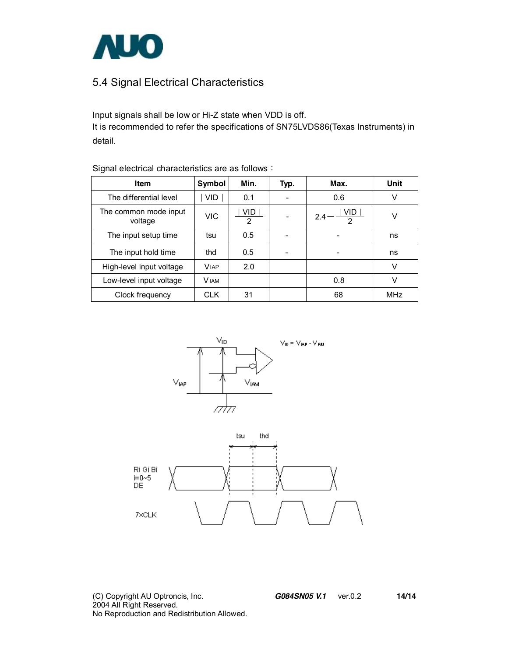

### 5.4 Signal Electrical Characteristics

Input signals shall be low or Hi-Z state when VDD is off. It is recommended to refer the specifications of SN75LVDS86(Texas Instruments) in detail.

| Item                             | Symbol      | Min.      | Typ. | Max.                              | Unit |
|----------------------------------|-------------|-----------|------|-----------------------------------|------|
| The differential level           | VID.        | 0.1       |      | 0.6                               | v    |
| The common mode input<br>voltage | VIC         | VID.<br>2 |      | VID.<br>$2.4 -$<br>$\mathfrak{D}$ | V    |
| The input setup time             | tsu         | 0.5       |      | $\overline{\phantom{a}}$          | ns   |
| The input hold time              | thd         | 0.5       |      | -                                 | ns   |
| High-level input voltage         | <b>VIAP</b> | 2.0       |      |                                   | V    |
| Low-level input voltage          | <b>VIAM</b> |           |      | 0.8                               | v    |
| Clock frequency                  | <b>CLK</b>  | 31        |      | 68                                | MHz  |

Signal electrical characteristics are as follows:





(C) Copyright AU Optroncis, Inc.*G084SN05 V.1*ver.0.2 **14/14**  2004 All Right Reserved. No Reproduction and Redistribution Allowed.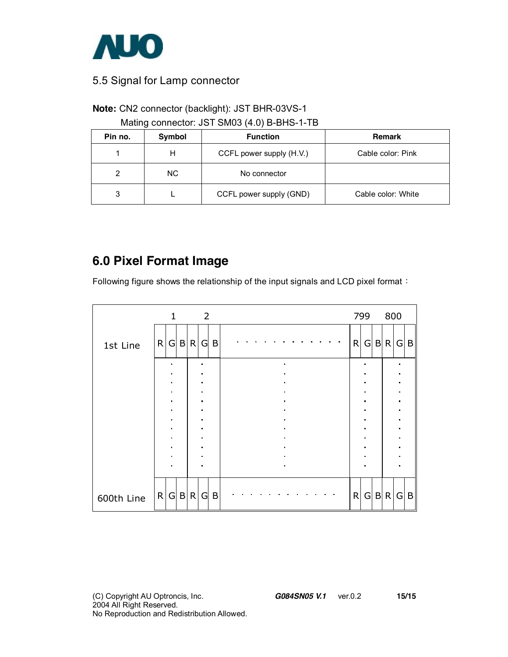

### 5.5 Signal for Lamp connector

### **Note:** CN2 connector (backlight): JST BHR-03VS-1

### Mating connector: JST SM03 (4.0) B-BHS-1-TB

| Pin no. | Symbol | <b>Function</b>          | <b>Remark</b>      |
|---------|--------|--------------------------|--------------------|
|         | н      | CCFL power supply (H.V.) | Cable color: Pink  |
|         | NC.    | No connector             |                    |
| 3       |        | CCFL power supply (GND)  | Cable color: White |

## **6.0 Pixel Format Image**

Following figure shows the relationship of the input signals and LCD pixel format:

|            |   | $\mathbf{1}$                     |              |              | $\overline{2}$                   |   |  |  |                                  |  |  |              | 799            |   | 800          |                     |   |
|------------|---|----------------------------------|--------------|--------------|----------------------------------|---|--|--|----------------------------------|--|--|--------------|----------------|---|--------------|---------------------|---|
| 1st Line   | R |                                  | G   B        | $\mathsf{R}$ | G                                | B |  |  |                                  |  |  | R            | G              |   | B R          | G                   | B |
|            |   | $\blacksquare$<br>$\blacksquare$ |              |              | $\blacksquare$<br>$\blacksquare$ |   |  |  | $\blacksquare$<br>$\bullet$      |  |  |              | $\bullet$      |   |              | $\blacksquare$      |   |
|            |   | $\blacksquare$<br>$\blacksquare$ |              |              | $\blacksquare$<br>$\blacksquare$ |   |  |  |                                  |  |  |              |                |   |              | n<br>$\blacksquare$ |   |
|            |   | $\blacksquare$<br>$\blacksquare$ |              |              | $\blacksquare$<br>$\blacksquare$ |   |  |  | $\blacksquare$<br>$\blacksquare$ |  |  |              | $\blacksquare$ |   |              | $\blacksquare$      |   |
|            |   | $\blacksquare$                   |              |              | $\blacksquare$                   |   |  |  |                                  |  |  |              |                |   |              | $\blacksquare$      |   |
|            |   | $\blacksquare$<br>$\blacksquare$ |              |              | $\blacksquare$<br>$\blacksquare$ |   |  |  | $\bullet$<br>$\blacksquare$      |  |  |              |                |   |              | n                   |   |
|            |   | $\blacksquare$<br>$\blacksquare$ |              |              | $\blacksquare$<br>$\blacksquare$ |   |  |  | $\blacksquare$<br>$\blacksquare$ |  |  |              |                |   |              | $\blacksquare$      |   |
|            |   | $\blacksquare$                   |              |              | $\blacksquare$                   |   |  |  | $\blacksquare$                   |  |  |              |                |   |              |                     |   |
| 600th Line | R | $\vert G \vert$                  | $\mathsf{B}$ | $\mathsf{R}$ | G                                | B |  |  |                                  |  |  | $\mathsf{R}$ | G              | B | $\mathsf{R}$ | G                   | B |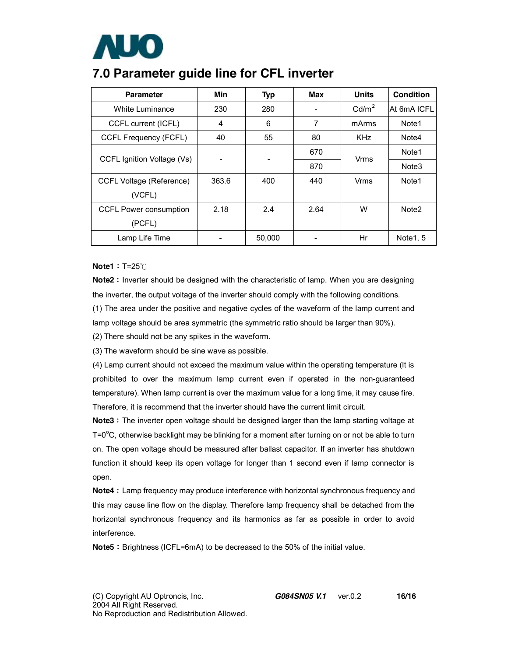

### **7.0 Parameter guide line for CFL inverter**

| <b>Parameter</b>                | Min   | <b>Typ</b> | Max  | <b>Units</b>      | Condition         |
|---------------------------------|-------|------------|------|-------------------|-------------------|
| White Luminance                 | 230   | 280        |      | Cd/m <sup>2</sup> | At 6mA ICFL       |
| CCFL current (ICFL)             | 4     | 6          | 7    | mArms             | Note1             |
| <b>CCFL Frequency (FCFL)</b>    | 40    | 55         | 80   | <b>KHz</b>        | Note4             |
| CCFL Ignition Voltage (Vs)      |       |            | 670  | <b>Vrms</b>       | Note <sub>1</sub> |
|                                 | -     |            | 870  |                   | Note <sub>3</sub> |
| <b>CCFL Voltage (Reference)</b> | 363.6 | 400        | 440  | Vrms              | Note1             |
| (VCFL)                          |       |            |      |                   |                   |
| <b>CCFL Power consumption</b>   | 2.18  | 2.4        | 2.64 | W                 | Note <sub>2</sub> |
| (PCFL)                          |       |            |      |                   |                   |
| Lamp Life Time                  |       | 50,000     |      | Hr                | Note1, 5          |

#### **Note1**: T=25℃

**Note2**: Inverter should be designed with the characteristic of lamp. When you are designing the inverter, the output voltage of the inverter should comply with the following conditions.

(1) The area under the positive and negative cycles of the waveform of the lamp current and lamp voltage should be area symmetric (the symmetric ratio should be larger than 90%).

(2) There should not be any spikes in the waveform.

(3) The waveform should be sine wave as possible.

(4) Lamp current should not exceed the maximum value within the operating temperature (It is prohibited to over the maximum lamp current even if operated in the non-guaranteed temperature). When lamp current is over the maximum value for a long time, it may cause fire. Therefore, it is recommend that the inverter should have the current limit circuit.

**Note3**: The inverter open voltage should be designed larger than the lamp starting voltage at  $T = 0^{\circ}$ C, otherwise backlight may be blinking for a moment after turning on or not be able to turn on. The open voltage should be measured after ballast capacitor. If an inverter has shutdown function it should keep its open voltage for longer than 1 second even if lamp connector is open.

**Note4**: Lamp frequency may produce interference with horizontal synchronous frequency and this may cause line flow on the display. Therefore lamp frequency shall be detached from the horizontal synchronous frequency and its harmonics as far as possible in order to avoid interference.

**Note5**: Brightness (ICFL=6mA) to be decreased to the 50% of the initial value.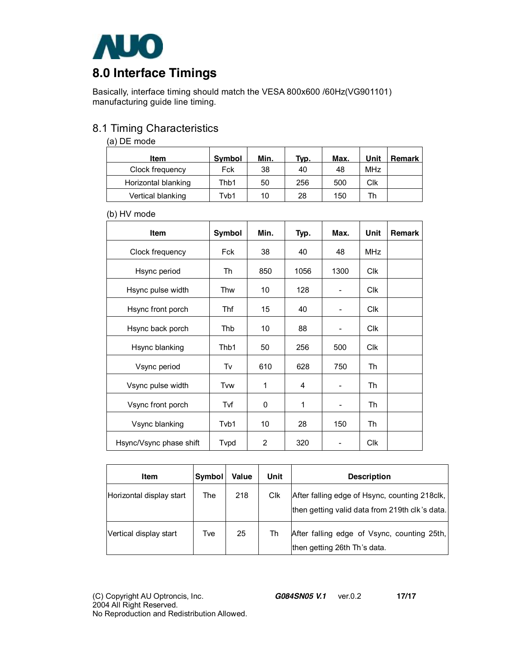

Basically, interface timing should match the VESA 800x600 /60Hz(VG901101) manufacturing guide line timing.

### 8.1 Timing Characteristics

#### (a) DE mode

| Item                | <b>Symbol</b> | Min. | Typ. | Max. | Unit       | Remark |
|---------------------|---------------|------|------|------|------------|--------|
| Clock frequency     | Fck           | 38   | 40   | 48   | <b>MHz</b> |        |
| Horizontal blanking | Thb1          | 50   | 256  | 500  | Clk        |        |
| Vertical blanking   | Tvb1          | 10   | 28   | 150  | Th         |        |

#### (b) HV mode

| <b>Item</b>             | Symbol | Min.           | Typ. | Max. | Unit       | <b>Remark</b> |
|-------------------------|--------|----------------|------|------|------------|---------------|
| Clock frequency         | Fck    | 38             | 40   | 48   | <b>MHz</b> |               |
| Hsync period            | Th     | 850            | 1056 | 1300 | <b>Clk</b> |               |
| Hsync pulse width       | Thw    | 10             | 128  |      | <b>Clk</b> |               |
| Hsync front porch       | Thf    | 15             | 40   |      | Clk        |               |
| Hsync back porch        | Thb    | 10             | 88   |      | Clk        |               |
| Hsync blanking          | Thb1   | 50             | 256  | 500  | <b>CIK</b> |               |
| Vsync period            | Tv     | 610            | 628  | 750  | Th         |               |
| Vsync pulse width       | Tvw    | 1              | 4    |      | Th         |               |
| Vsync front porch       | Tvf    | $\mathbf{0}$   | 1    |      | Th         |               |
| Vsync blanking          | Tvb1   | 10             | 28   | 150  | Th         |               |
| Hsync/Vsync phase shift | Typd   | $\overline{2}$ | 320  |      | <b>Clk</b> |               |

| Item                     | Symbol | Value | Unit | <b>Description</b>                                                                              |
|--------------------------|--------|-------|------|-------------------------------------------------------------------------------------------------|
| Horizontal display start | The    | 218   | Clk  | After falling edge of Hsync, counting 218clk,<br>then getting valid data from 219th clk's data. |
| Vertical display start   | Tve    | 25    | Th   | After falling edge of Vsync, counting 25th,<br>then getting 26th Th's data.                     |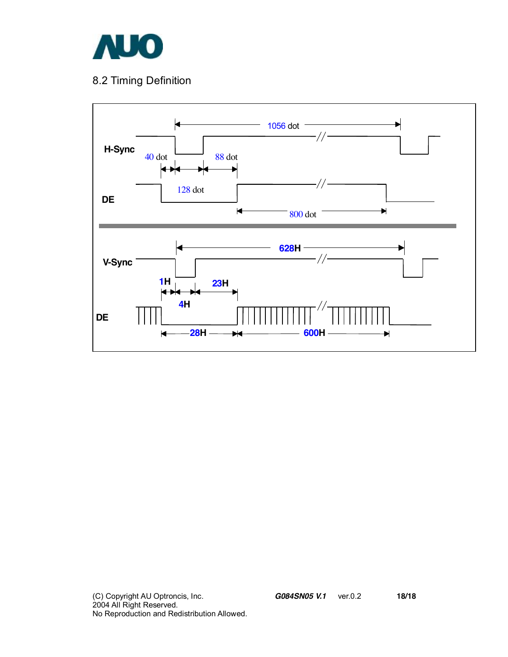

### 8.2 Timing Definition

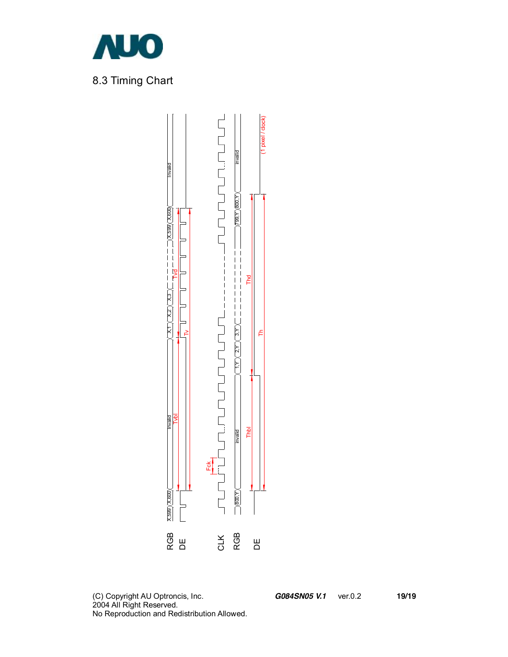



(C) Copyright AU Optroncis, Inc.*G084SN05 V.1*ver.0.2 **19/19**  2004 All Right Reserved. No Reproduction and Redistribution Allowed.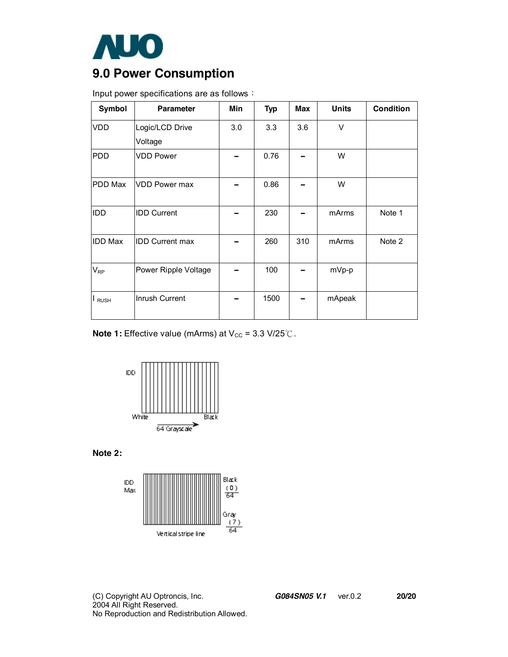

# **9.0 Power Consumption**

| Input power specifications are as follows: |  |
|--------------------------------------------|--|
|--------------------------------------------|--|

| Symbol         | <b>Parameter</b>       | Min | <b>Typ</b> | Max | <b>Units</b> | <b>Condition</b> |
|----------------|------------------------|-----|------------|-----|--------------|------------------|
| <b>VDD</b>     | Logic/LCD Drive        | 3.0 | 3.3        | 3.6 | $\vee$       |                  |
|                | Voltage                |     |            |     |              |                  |
| <b>PDD</b>     | <b>VDD Power</b>       |     | 0.76       |     | W            |                  |
| PDD Max        | <b>VDD Power max</b>   |     | 0.86       |     | W            |                  |
| <b>IDD</b>     | <b>IDD Current</b>     |     | 230        |     | mArms        | Note 1           |
| <b>IDD Max</b> | <b>IDD Current max</b> |     | 260        | 310 | mArms        | Note 2           |
| $V_{RP}$       | Power Ripple Voltage   |     | 100        |     | mVp-p        |                  |
| I RUSH         | Inrush Current         |     | 1500       |     | mApeak       |                  |

**Note 1:** Effective value (mArms) at V<sub>cc</sub> = 3.3 V/25℃.



**Note 2:** 

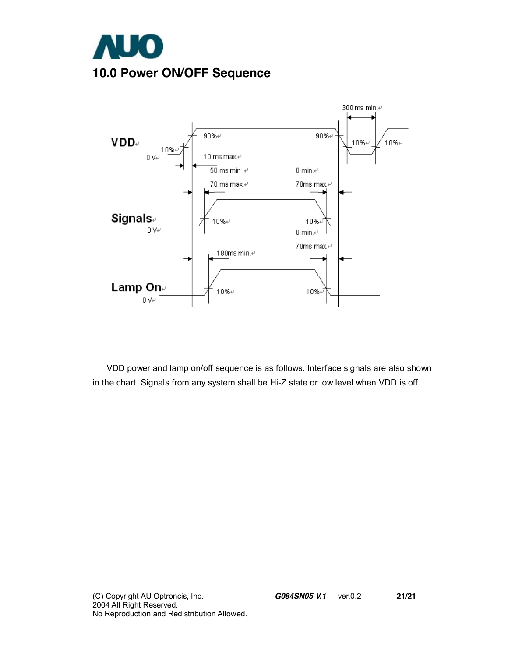



VDD power and lamp on/off sequence is as follows. Interface signals are also shown in the chart. Signals from any system shall be Hi-Z state or low level when VDD is off.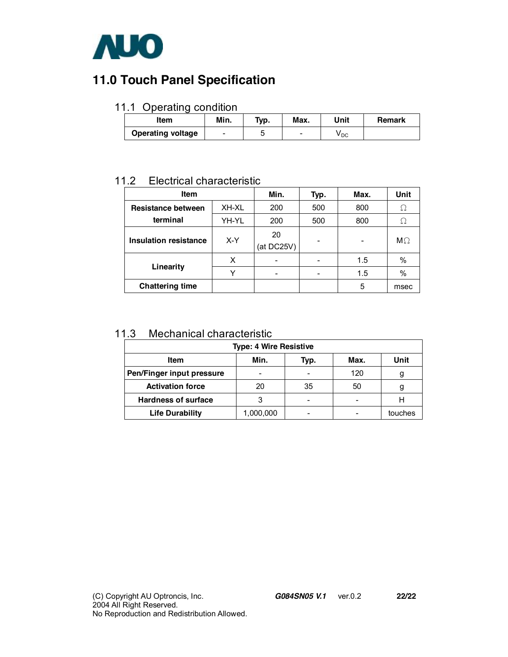

## **11.0 Touch Panel Specification**

### 11.1 Operating condition

| Item                     | Min. | Tур. | Max.                     | Unit | <b>Remark</b> |
|--------------------------|------|------|--------------------------|------|---------------|
| <b>Operating voltage</b> | -    |      | $\overline{\phantom{0}}$ | V DC |               |

### 11.2 Electrical characteristic

| <b>Item</b>                  |       | Min.             | Typ. | Max. | Unit      |
|------------------------------|-------|------------------|------|------|-----------|
| Resistance between           | XH-XL | 200              | 500  | 800  | Ω         |
| terminal                     | YH-YL | 200              | 500  | 800  | Ω         |
| <b>Insulation resistance</b> | X-Y   | 20<br>(at DC25V) |      |      | $M\Omega$ |
|                              | X     |                  |      | 1.5  | %         |
| Linearity                    |       |                  |      | 1.5  | $\%$      |
| <b>Chattering time</b>       |       |                  |      | 5    | msec      |

### 11.3 Mechanical characteristic

| <b>Type: 4 Wire Resistive</b>       |           |                          |     |         |  |  |  |  |  |  |
|-------------------------------------|-----------|--------------------------|-----|---------|--|--|--|--|--|--|
| Min.<br>Max.<br><b>Item</b><br>Typ. |           |                          |     |         |  |  |  |  |  |  |
| Pen/Finger input pressure           | -         | -                        | 120 |         |  |  |  |  |  |  |
| <b>Activation force</b>             | 20        | 35                       | 50  |         |  |  |  |  |  |  |
| <b>Hardness of surface</b>          | 3         | $\overline{\phantom{0}}$ | -   |         |  |  |  |  |  |  |
| <b>Life Durability</b>              | 1,000,000 | -                        |     | touches |  |  |  |  |  |  |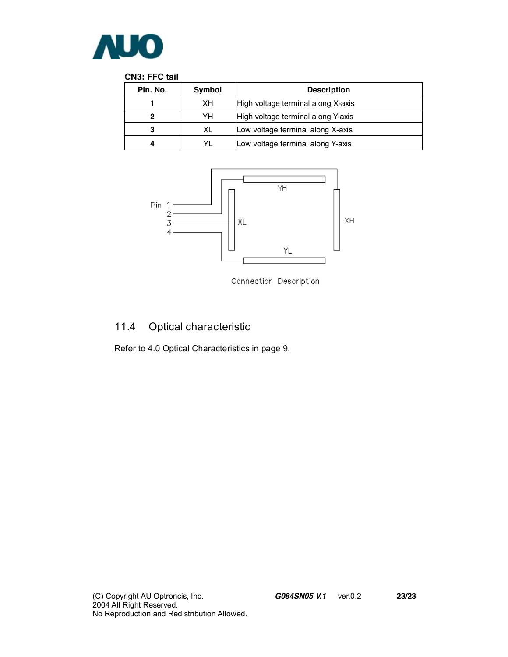

#### **CN3: FFC tail**

| Pin. No. | Symbol | <b>Description</b>                 |
|----------|--------|------------------------------------|
|          | XH     | High voltage terminal along X-axis |
|          | YH     | High voltage terminal along Y-axis |
|          | XL     | Low voltage terminal along X-axis  |
|          |        | Low voltage terminal along Y-axis  |



Connection Description

## 11.4 Optical characteristic

Refer to 4.0 Optical Characteristics in page 9.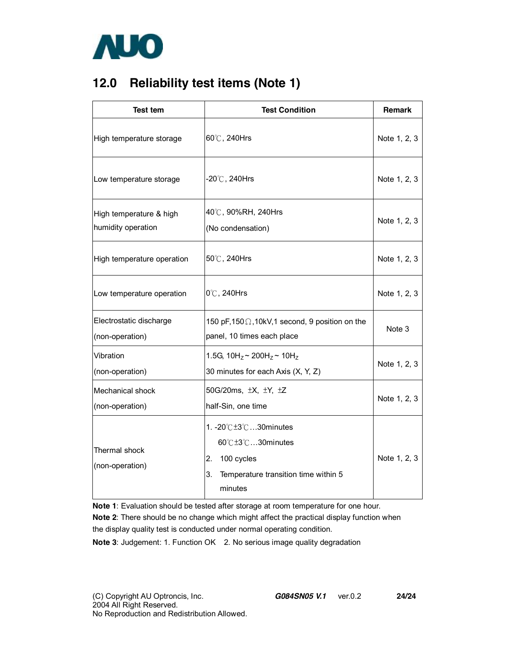

## **12.0 Reliability test items (Note 1)**

| <b>Test tem</b>                               | <b>Test Condition</b>                                                                                            | <b>Remark</b> |
|-----------------------------------------------|------------------------------------------------------------------------------------------------------------------|---------------|
| High temperature storage                      | 60℃, 240Hrs                                                                                                      | Note 1, 2, 3  |
| Low temperature storage                       | $-20^{\circ}$ C, 240Hrs                                                                                          | Note 1, 2, 3  |
| High temperature & high<br>humidity operation | 40℃, 90%RH, 240Hrs<br>(No condensation)                                                                          | Note 1, 2, 3  |
| High temperature operation                    | 50℃, 240Hrs                                                                                                      | Note 1, 2, 3  |
| Low temperature operation                     | 0°C, 240Hrs                                                                                                      | Note 1, 2, 3  |
| Electrostatic discharge<br>(non-operation)    | 150 pF, 150 $\Omega$ , 10kV, 1 second, 9 position on the<br>panel, 10 times each place                           | Note 3        |
| Vibration<br>(non-operation)                  | 1.5G, $10H_z \sim 200H_z \sim 10H_z$<br>30 minutes for each Axis (X, Y, Z)                                       | Note 1, 2, 3  |
| Mechanical shock<br>(non-operation)           | 50G/20ms, $\pm X$ , $\pm Y$ , $\pm Z$<br>half-Sin, one time                                                      | Note 1, 2, 3  |
| Thermal shock<br>(non-operation)              | 1. -20℃±3℃30minutes<br>60℃±3℃30minutes<br>2. 100 cycles<br>Temperature transition time within 5<br>3.<br>minutes | Note 1, 2, 3  |

**Note 1**: Evaluation should be tested after storage at room temperature for one hour.

**Note 2**: There should be no change which might affect the practical display function when the display quality test is conducted under normal operating condition.

**Note 3**: Judgement: 1. Function OK 2. No serious image quality degradation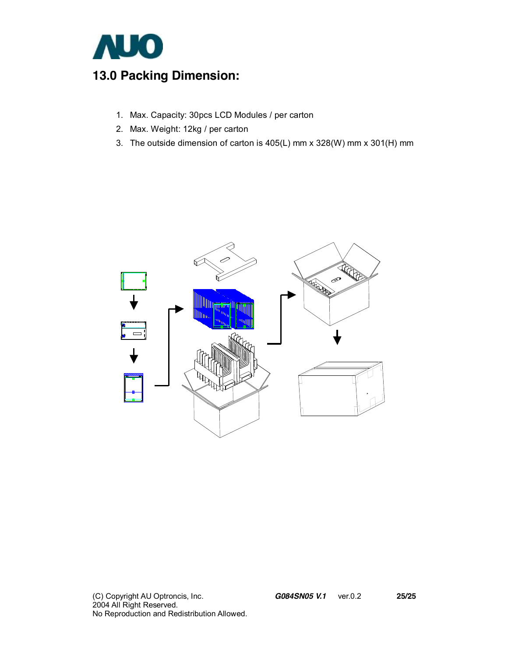

## **13.0 Packing Dimension:**

- 1. Max. Capacity: 30pcs LCD Modules / per carton
- 2. Max. Weight: 12kg / per carton
- 3. The outside dimension of carton is 405(L) mm x 328(W) mm x 301(H) mm

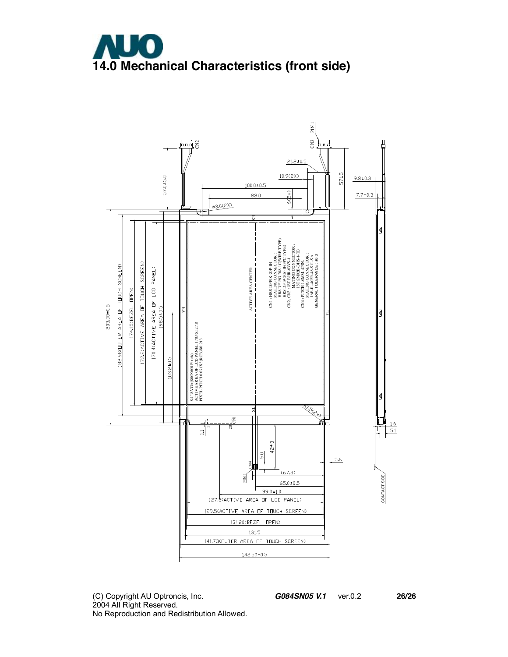